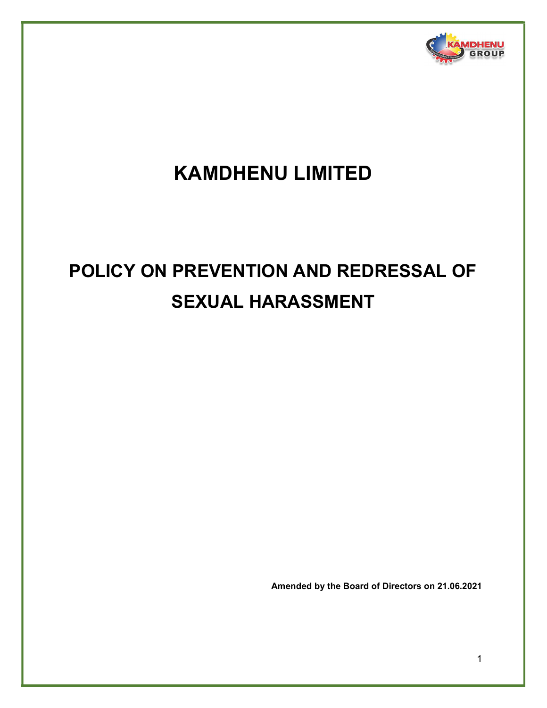

# KAMDHENU LIMITED

# POLICY ON PREVENTION AND REDRESSAL OF SEXUAL HARASSMENT

Amended by the Board of Directors on 21.06.2021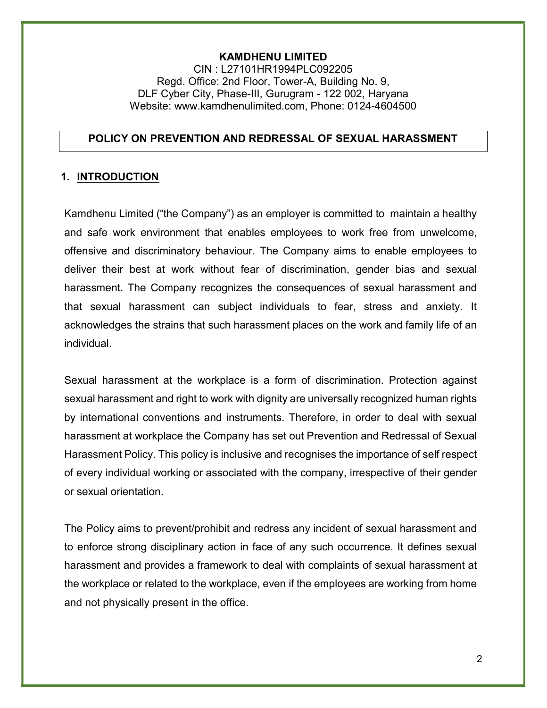#### KAMDHENU LIMITED

CIN : L27101HR1994PLC092205 Regd. Office: 2nd Floor, Tower-A, Building No. 9, DLF Cyber City, Phase-III, Gurugram - 122 002, Haryana Website: www.kamdhenulimited.com, Phone: 0124-4604500

#### POLICY ON PREVENTION AND REDRESSAL OF SEXUAL HARASSMENT

# 1. INTRODUCTION

Kamdhenu Limited ("the Company") as an employer is committed to maintain a healthy and safe work environment that enables employees to work free from unwelcome, offensive and discriminatory behaviour. The Company aims to enable employees to deliver their best at work without fear of discrimination, gender bias and sexual harassment. The Company recognizes the consequences of sexual harassment and that sexual harassment can subject individuals to fear, stress and anxiety. It acknowledges the strains that such harassment places on the work and family life of an individual.

Sexual harassment at the workplace is a form of discrimination. Protection against sexual harassment and right to work with dignity are universally recognized human rights by international conventions and instruments. Therefore, in order to deal with sexual harassment at workplace the Company has set out Prevention and Redressal of Sexual Harassment Policy. This policy is inclusive and recognises the importance of self respect of every individual working or associated with the company, irrespective of their gender or sexual orientation.

The Policy aims to prevent/prohibit and redress any incident of sexual harassment and to enforce strong disciplinary action in face of any such occurrence. It defines sexual harassment and provides a framework to deal with complaints of sexual harassment at the workplace or related to the workplace, even if the employees are working from home and not physically present in the office.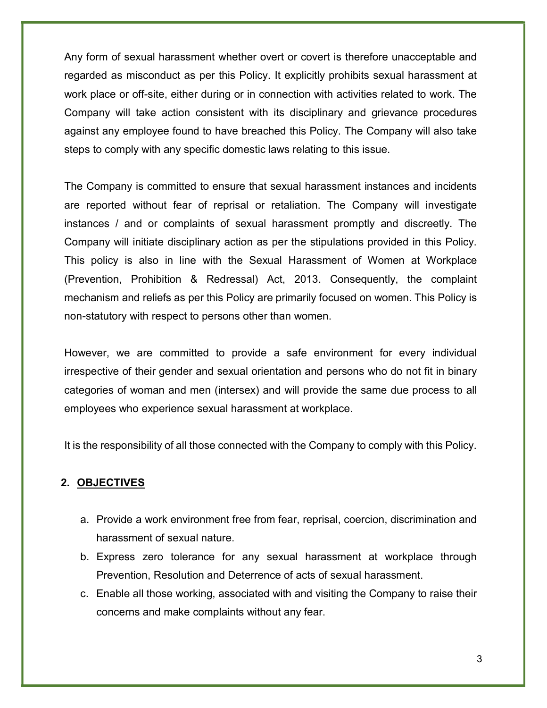Any form of sexual harassment whether overt or covert is therefore unacceptable and regarded as misconduct as per this Policy. It explicitly prohibits sexual harassment at work place or off-site, either during or in connection with activities related to work. The Company will take action consistent with its disciplinary and grievance procedures against any employee found to have breached this Policy. The Company will also take steps to comply with any specific domestic laws relating to this issue.

The Company is committed to ensure that sexual harassment instances and incidents are reported without fear of reprisal or retaliation. The Company will investigate instances / and or complaints of sexual harassment promptly and discreetly. The Company will initiate disciplinary action as per the stipulations provided in this Policy. This policy is also in line with the Sexual Harassment of Women at Workplace (Prevention, Prohibition & Redressal) Act, 2013. Consequently, the complaint mechanism and reliefs as per this Policy are primarily focused on women. This Policy is non-statutory with respect to persons other than women.

However, we are committed to provide a safe environment for every individual irrespective of their gender and sexual orientation and persons who do not fit in binary categories of woman and men (intersex) and will provide the same due process to all employees who experience sexual harassment at workplace.

It is the responsibility of all those connected with the Company to comply with this Policy.

#### 2. OBJECTIVES

- a. Provide a work environment free from fear, reprisal, coercion, discrimination and harassment of sexual nature.
- b. Express zero tolerance for any sexual harassment at workplace through Prevention, Resolution and Deterrence of acts of sexual harassment.
- c. Enable all those working, associated with and visiting the Company to raise their concerns and make complaints without any fear.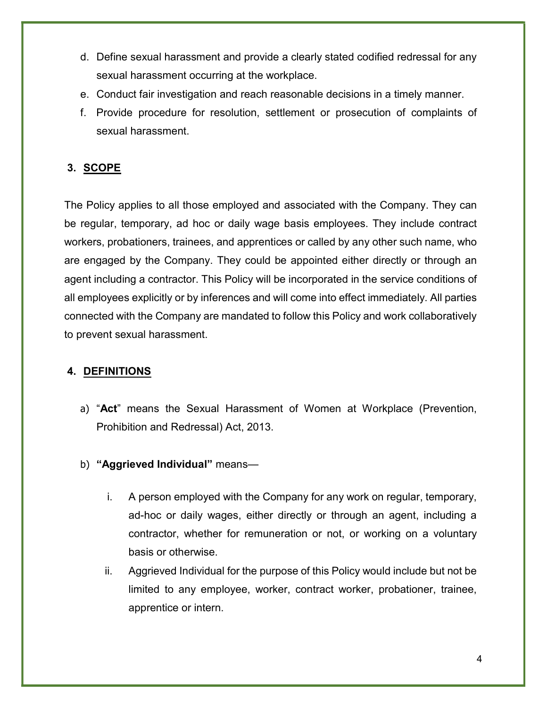- d. Define sexual harassment and provide a clearly stated codified redressal for any sexual harassment occurring at the workplace.
- e. Conduct fair investigation and reach reasonable decisions in a timely manner.
- f. Provide procedure for resolution, settlement or prosecution of complaints of sexual harassment.

# 3. SCOPE

The Policy applies to all those employed and associated with the Company. They can be regular, temporary, ad hoc or daily wage basis employees. They include contract workers, probationers, trainees, and apprentices or called by any other such name, who are engaged by the Company. They could be appointed either directly or through an agent including a contractor. This Policy will be incorporated in the service conditions of all employees explicitly or by inferences and will come into effect immediately. All parties connected with the Company are mandated to follow this Policy and work collaboratively to prevent sexual harassment.

# 4. DEFINITIONS

- a) "Act" means the Sexual Harassment of Women at Workplace (Prevention, Prohibition and Redressal) Act, 2013.
- b) "Aggrieved Individual" means
	- i. A person employed with the Company for any work on regular, temporary, ad-hoc or daily wages, either directly or through an agent, including a contractor, whether for remuneration or not, or working on a voluntary basis or otherwise.
	- ii. Aggrieved Individual for the purpose of this Policy would include but not be limited to any employee, worker, contract worker, probationer, trainee, apprentice or intern.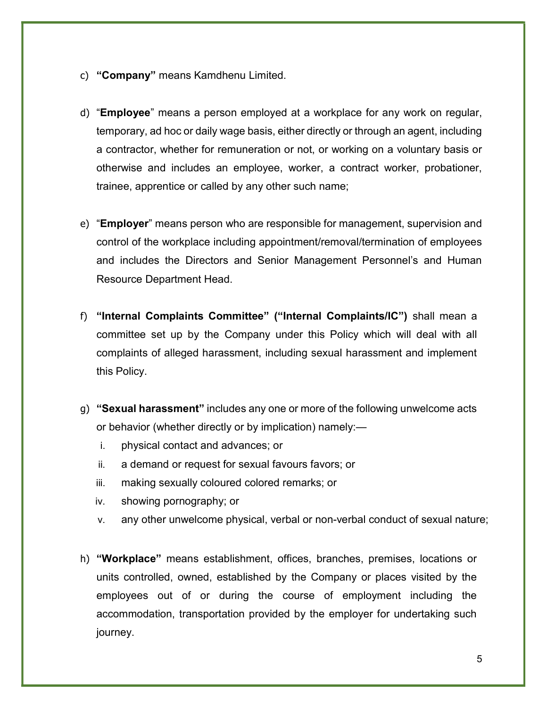- c) "Company" means Kamdhenu Limited.
- d) "Employee" means a person employed at a workplace for any work on regular, temporary, ad hoc or daily wage basis, either directly or through an agent, including a contractor, whether for remuneration or not, or working on a voluntary basis or otherwise and includes an employee, worker, a contract worker, probationer, trainee, apprentice or called by any other such name;
- e) "Employer" means person who are responsible for management, supervision and control of the workplace including appointment/removal/termination of employees and includes the Directors and Senior Management Personnel's and Human Resource Department Head.
- f) "Internal Complaints Committee" ("Internal Complaints/IC") shall mean a committee set up by the Company under this Policy which will deal with all complaints of alleged harassment, including sexual harassment and implement this Policy.
- g) "Sexual harassment" includes any one or more of the following unwelcome acts or behavior (whether directly or by implication) namely:
	- i. physical contact and advances; or
	- ii. a demand or request for sexual favours favors; or
	- iii. making sexually coloured colored remarks; or
	- iv. showing pornography; or
	- v. any other unwelcome physical, verbal or non-verbal conduct of sexual nature;
- h) "Workplace" means establishment, offices, branches, premises, locations or units controlled, owned, established by the Company or places visited by the employees out of or during the course of employment including the accommodation, transportation provided by the employer for undertaking such journey.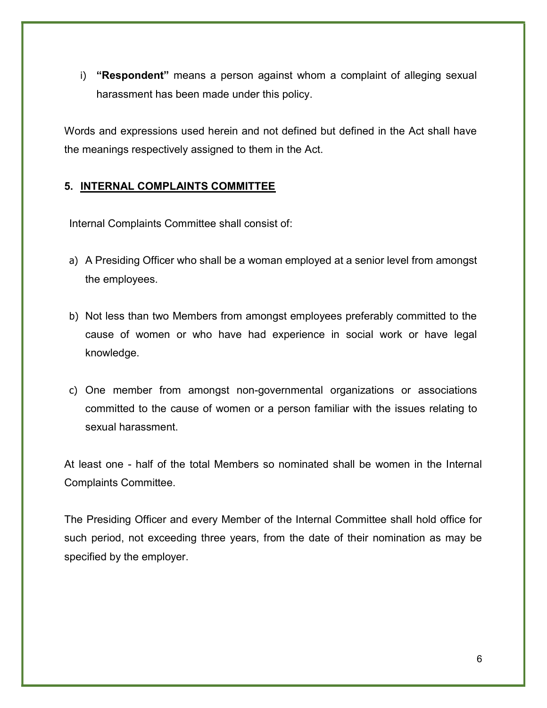i) "Respondent" means a person against whom a complaint of alleging sexual harassment has been made under this policy.

Words and expressions used herein and not defined but defined in the Act shall have the meanings respectively assigned to them in the Act.

# 5. INTERNAL COMPLAINTS COMMITTEE

Internal Complaints Committee shall consist of:

- a) A Presiding Officer who shall be a woman employed at a senior level from amongst the employees.
- b) Not less than two Members from amongst employees preferably committed to the cause of women or who have had experience in social work or have legal knowledge.
- c) One member from amongst non-governmental organizations or associations committed to the cause of women or a person familiar with the issues relating to sexual harassment.

At least one - half of the total Members so nominated shall be women in the Internal Complaints Committee.

The Presiding Officer and every Member of the Internal Committee shall hold office for such period, not exceeding three years, from the date of their nomination as may be specified by the employer.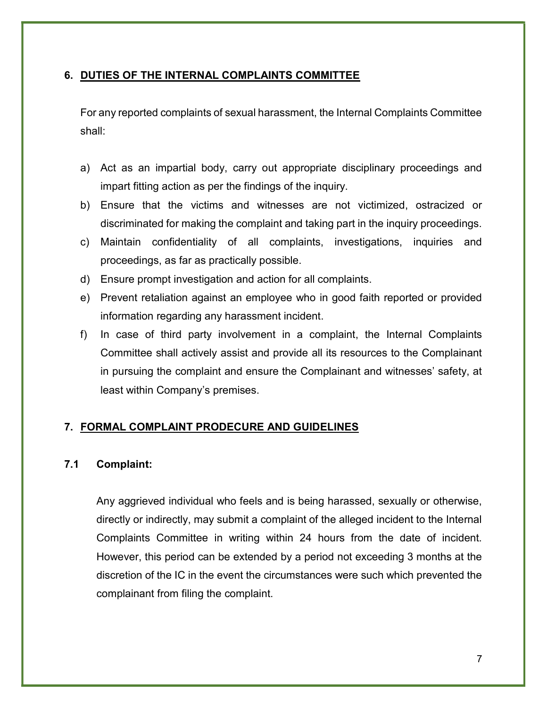# 6. DUTIES OF THE INTERNAL COMPLAINTS COMMITTEE

For any reported complaints of sexual harassment, the Internal Complaints Committee shall:

- a) Act as an impartial body, carry out appropriate disciplinary proceedings and impart fitting action as per the findings of the inquiry.
- b) Ensure that the victims and witnesses are not victimized, ostracized or discriminated for making the complaint and taking part in the inquiry proceedings.
- c) Maintain confidentiality of all complaints, investigations, inquiries and proceedings, as far as practically possible.
- d) Ensure prompt investigation and action for all complaints.
- e) Prevent retaliation against an employee who in good faith reported or provided information regarding any harassment incident.
- f) In case of third party involvement in a complaint, the Internal Complaints Committee shall actively assist and provide all its resources to the Complainant in pursuing the complaint and ensure the Complainant and witnesses' safety, at least within Company's premises.

# 7. FORMAL COMPLAINT PRODECURE AND GUIDELINES

# 7.1 Complaint:

Any aggrieved individual who feels and is being harassed, sexually or otherwise, directly or indirectly, may submit a complaint of the alleged incident to the Internal Complaints Committee in writing within 24 hours from the date of incident. However, this period can be extended by a period not exceeding 3 months at the discretion of the IC in the event the circumstances were such which prevented the complainant from filing the complaint.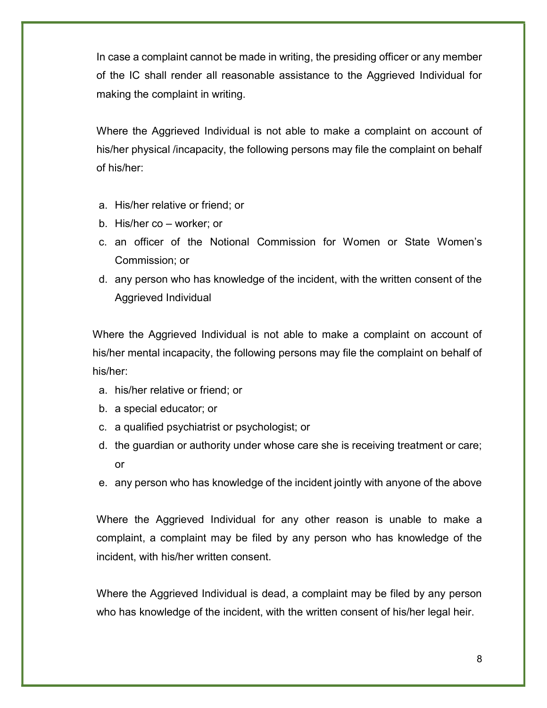In case a complaint cannot be made in writing, the presiding officer or any member of the IC shall render all reasonable assistance to the Aggrieved Individual for making the complaint in writing.

Where the Aggrieved Individual is not able to make a complaint on account of his/her physical /incapacity, the following persons may file the complaint on behalf of his/her:

- a. His/her relative or friend; or
- b. His/her co worker; or
- c. an officer of the Notional Commission for Women or State Women's Commission; or
- d. any person who has knowledge of the incident, with the written consent of the Aggrieved Individual

Where the Aggrieved Individual is not able to make a complaint on account of his/her mental incapacity, the following persons may file the complaint on behalf of his/her:

- a. his/her relative or friend; or
- b. a special educator; or
- c. a qualified psychiatrist or psychologist; or
- d. the guardian or authority under whose care she is receiving treatment or care; or
- e. any person who has knowledge of the incident jointly with anyone of the above

Where the Aggrieved Individual for any other reason is unable to make a complaint, a complaint may be filed by any person who has knowledge of the incident, with his/her written consent.

Where the Aggrieved Individual is dead, a complaint may be filed by any person who has knowledge of the incident, with the written consent of his/her legal heir.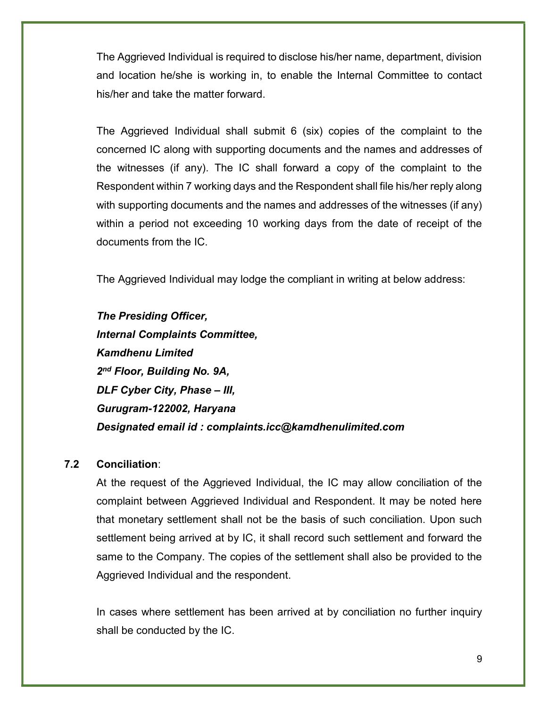The Aggrieved Individual is required to disclose his/her name, department, division and location he/she is working in, to enable the Internal Committee to contact his/her and take the matter forward.

The Aggrieved Individual shall submit 6 (six) copies of the complaint to the concerned IC along with supporting documents and the names and addresses of the witnesses (if any). The IC shall forward a copy of the complaint to the Respondent within 7 working days and the Respondent shall file his/her reply along with supporting documents and the names and addresses of the witnesses (if any) within a period not exceeding 10 working days from the date of receipt of the documents from the IC.

The Aggrieved Individual may lodge the compliant in writing at below address:

The Presiding Officer, Internal Complaints Committee, Kamdhenu Limited 2<sup>nd</sup> Floor, Building No. 9A, DLF Cyber City, Phase – III, Gurugram-122002, Haryana Designated email id : complaints.icc@kamdhenulimited.com

# 7.2 Conciliation:

At the request of the Aggrieved Individual, the IC may allow conciliation of the complaint between Aggrieved Individual and Respondent. It may be noted here that monetary settlement shall not be the basis of such conciliation. Upon such settlement being arrived at by IC, it shall record such settlement and forward the same to the Company. The copies of the settlement shall also be provided to the Aggrieved Individual and the respondent.

In cases where settlement has been arrived at by conciliation no further inquiry shall be conducted by the IC.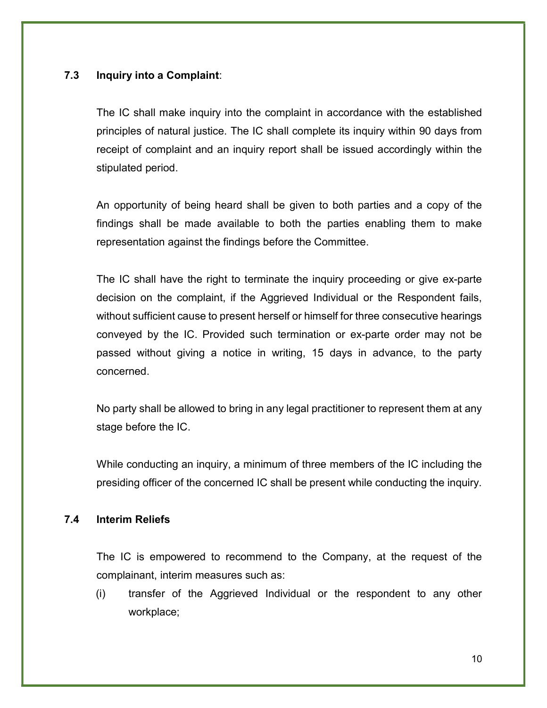# 7.3 Inquiry into a Complaint:

The IC shall make inquiry into the complaint in accordance with the established principles of natural justice. The IC shall complete its inquiry within 90 days from receipt of complaint and an inquiry report shall be issued accordingly within the stipulated period.

An opportunity of being heard shall be given to both parties and a copy of the findings shall be made available to both the parties enabling them to make representation against the findings before the Committee.

The IC shall have the right to terminate the inquiry proceeding or give ex-parte decision on the complaint, if the Aggrieved Individual or the Respondent fails, without sufficient cause to present herself or himself for three consecutive hearings conveyed by the IC. Provided such termination or ex-parte order may not be passed without giving a notice in writing, 15 days in advance, to the party concerned.

No party shall be allowed to bring in any legal practitioner to represent them at any stage before the IC.

While conducting an inquiry, a minimum of three members of the IC including the presiding officer of the concerned IC shall be present while conducting the inquiry.

# 7.4 Interim Reliefs

The IC is empowered to recommend to the Company, at the request of the complainant, interim measures such as:

(i) transfer of the Aggrieved Individual or the respondent to any other workplace;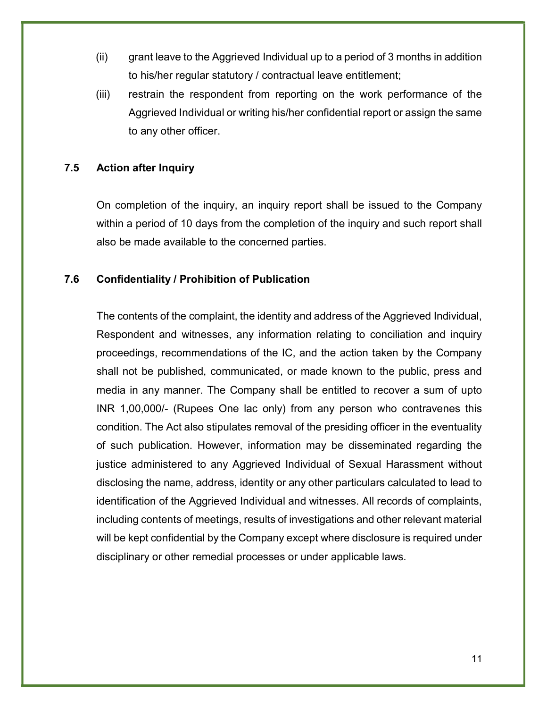- (ii) grant leave to the Aggrieved Individual up to a period of 3 months in addition to his/her regular statutory / contractual leave entitlement;
- (iii) restrain the respondent from reporting on the work performance of the Aggrieved Individual or writing his/her confidential report or assign the same to any other officer.

#### 7.5 Action after Inquiry

On completion of the inquiry, an inquiry report shall be issued to the Company within a period of 10 days from the completion of the inquiry and such report shall also be made available to the concerned parties.

#### 7.6 Confidentiality / Prohibition of Publication

The contents of the complaint, the identity and address of the Aggrieved Individual, Respondent and witnesses, any information relating to conciliation and inquiry proceedings, recommendations of the IC, and the action taken by the Company shall not be published, communicated, or made known to the public, press and media in any manner. The Company shall be entitled to recover a sum of upto INR 1,00,000/- (Rupees One lac only) from any person who contravenes this condition. The Act also stipulates removal of the presiding officer in the eventuality of such publication. However, information may be disseminated regarding the justice administered to any Aggrieved Individual of Sexual Harassment without disclosing the name, address, identity or any other particulars calculated to lead to identification of the Aggrieved Individual and witnesses. All records of complaints, including contents of meetings, results of investigations and other relevant material will be kept confidential by the Company except where disclosure is required under disciplinary or other remedial processes or under applicable laws.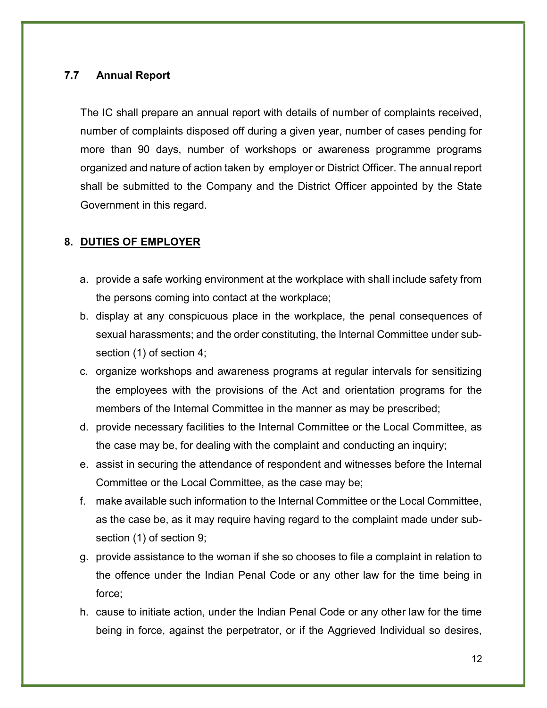# 7.7 Annual Report

The IC shall prepare an annual report with details of number of complaints received, number of complaints disposed off during a given year, number of cases pending for more than 90 days, number of workshops or awareness programme programs organized and nature of action taken by employer or District Officer. The annual report shall be submitted to the Company and the District Officer appointed by the State Government in this regard.

# 8. DUTIES OF EMPLOYER

- a. provide a safe working environment at the workplace with shall include safety from the persons coming into contact at the workplace;
- b. display at any conspicuous place in the workplace, the penal consequences of sexual harassments; and the order constituting, the Internal Committee under subsection (1) of section 4;
- c. organize workshops and awareness programs at regular intervals for sensitizing the employees with the provisions of the Act and orientation programs for the members of the Internal Committee in the manner as may be prescribed;
- d. provide necessary facilities to the Internal Committee or the Local Committee, as the case may be, for dealing with the complaint and conducting an inquiry;
- e. assist in securing the attendance of respondent and witnesses before the Internal Committee or the Local Committee, as the case may be;
- f. make available such information to the Internal Committee or the Local Committee, as the case be, as it may require having regard to the complaint made under subsection (1) of section 9;
- g. provide assistance to the woman if she so chooses to file a complaint in relation to the offence under the Indian Penal Code or any other law for the time being in force;
- h. cause to initiate action, under the Indian Penal Code or any other law for the time being in force, against the perpetrator, or if the Aggrieved Individual so desires,